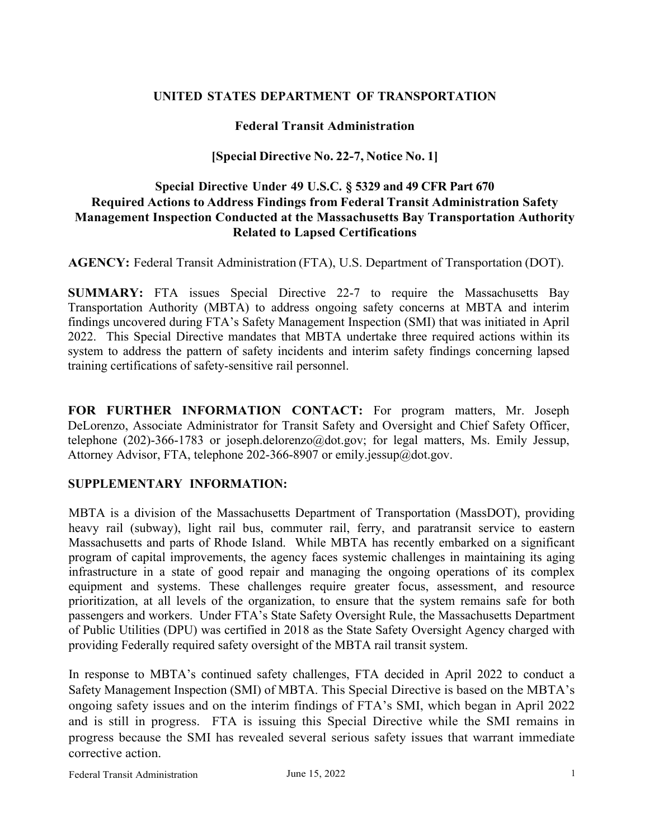#### **UNITED STATES DEPARTMENT OF TRANSPORTATION**

#### **Federal Transit Administration**

### **[Special Directive No. 22-7, Notice No. 1]**

### **Special Directive Under 49 U.S.C. § 5329 and 49 CFR Part 670 Required Actions to Address Findings from Federal Transit Administration Safety Management Inspection Conducted at the Massachusetts Bay Transportation Authority Related to Lapsed Certifications**

**AGENCY:** Federal Transit Administration (FTA), U.S. Department of Transportation (DOT).

**SUMMARY:** FTA issues Special Directive 22-7 to require the Massachusetts Bay Transportation Authority (MBTA) to address ongoing safety concerns at MBTA and interim findings uncovered during FTA's Safety Management Inspection (SMI) that was initiated in April 2022. This Special Directive mandates that MBTA undertake three required actions within its system to address the pattern of safety incidents and interim safety findings concerning lapsed training certifications of safety-sensitive rail personnel.

**FOR FURTHER INFORMATION CONTACT:** For program matters, Mr. Joseph DeLorenzo, Associate Administrator for Transit Safety and Oversight and Chief Safety Officer, telephone (202)-366-1783 or joseph.delorenzo@dot.gov; for legal matters, Ms. Emily Jessup, Attorney Advisor, FTA, telephone 202-366-8907 or emily.jessup@dot.gov.

#### **SUPPLEMENTARY INFORMATION:**

MBTA is a division of the Massachusetts Department of Transportation (MassDOT), providing heavy rail (subway), light rail bus, commuter rail, ferry, and paratransit service to eastern Massachusetts and parts of Rhode Island. While MBTA has recently embarked on a significant program of capital improvements, the agency faces systemic challenges in maintaining its aging infrastructure in a state of good repair and managing the ongoing operations of its complex equipment and systems. These challenges require greater focus, assessment, and resource prioritization, at all levels of the organization, to ensure that the system remains safe for both passengers and workers. Under FTA's State Safety Oversight Rule, the Massachusetts Department of Public Utilities (DPU) was certified in 2018 as the State Safety Oversight Agency charged with providing Federally required safety oversight of the MBTA rail transit system.

In response to MBTA's continued safety challenges, FTA decided in April 2022 to conduct a Safety Management Inspection (SMI) of MBTA. This Special Directive is based on the MBTA's ongoing safety issues and on the interim findings of FTA's SMI, which began in April 2022 and is still in progress. FTA is issuing this Special Directive while the SMI remains in progress because the SMI has revealed several serious safety issues that warrant immediate corrective action.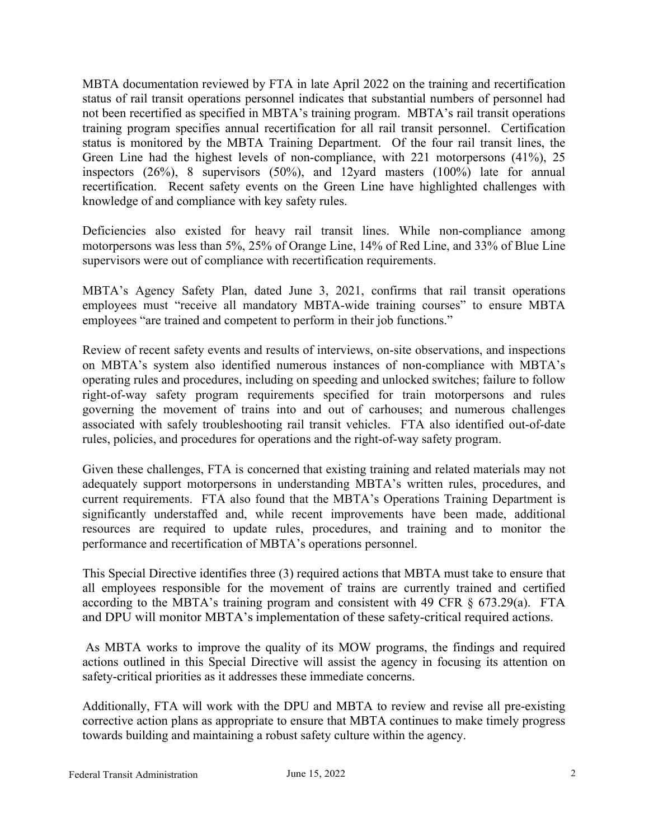MBTA documentation reviewed by FTA in late April 2022 on the training and recertification status of rail transit operations personnel indicates that substantial numbers of personnel had not been recertified as specified in MBTA's training program. MBTA's rail transit operations training program specifies annual recertification for all rail transit personnel. Certification status is monitored by the MBTA Training Department. Of the four rail transit lines, the Green Line had the highest levels of non-compliance, with 221 motorpersons (41%), 25 inspectors (26%), 8 supervisors (50%), and 12yard masters (100%) late for annual recertification. Recent safety events on the Green Line have highlighted challenges with knowledge of and compliance with key safety rules.

Deficiencies also existed for heavy rail transit lines. While non-compliance among motorpersons was less than 5%, 25% of Orange Line, 14% of Red Line, and 33% of Blue Line supervisors were out of compliance with recertification requirements.

MBTA's Agency Safety Plan, dated June 3, 2021, confirms that rail transit operations employees must "receive all mandatory MBTA-wide training courses" to ensure MBTA employees "are trained and competent to perform in their job functions."

Review of recent safety events and results of interviews, on-site observations, and inspections on MBTA's system also identified numerous instances of non-compliance with MBTA's operating rules and procedures, including on speeding and unlocked switches; failure to follow right-of-way safety program requirements specified for train motorpersons and rules governing the movement of trains into and out of carhouses; and numerous challenges associated with safely troubleshooting rail transit vehicles. FTA also identified out-of-date rules, policies, and procedures for operations and the right-of-way safety program.

Given these challenges, FTA is concerned that existing training and related materials may not adequately support motorpersons in understanding MBTA's written rules, procedures, and current requirements. FTA also found that the MBTA's Operations Training Department is significantly understaffed and, while recent improvements have been made, additional resources are required to update rules, procedures, and training and to monitor the performance and recertification of MBTA's operations personnel.

This Special Directive identifies three (3) required actions that MBTA must take to ensure that all employees responsible for the movement of trains are currently trained and certified according to the MBTA's training program and consistent with 49 CFR  $\S$  673.29(a). FTA and DPU will monitor MBTA's implementation of these safety-critical required actions.

As MBTA works to improve the quality of its MOW programs, the findings and required actions outlined in this Special Directive will assist the agency in focusing its attention on safety-critical priorities as it addresses these immediate concerns.

Additionally, FTA will work with the DPU and MBTA to review and revise all pre-existing corrective action plans as appropriate to ensure that MBTA continues to make timely progress towards building and maintaining a robust safety culture within the agency.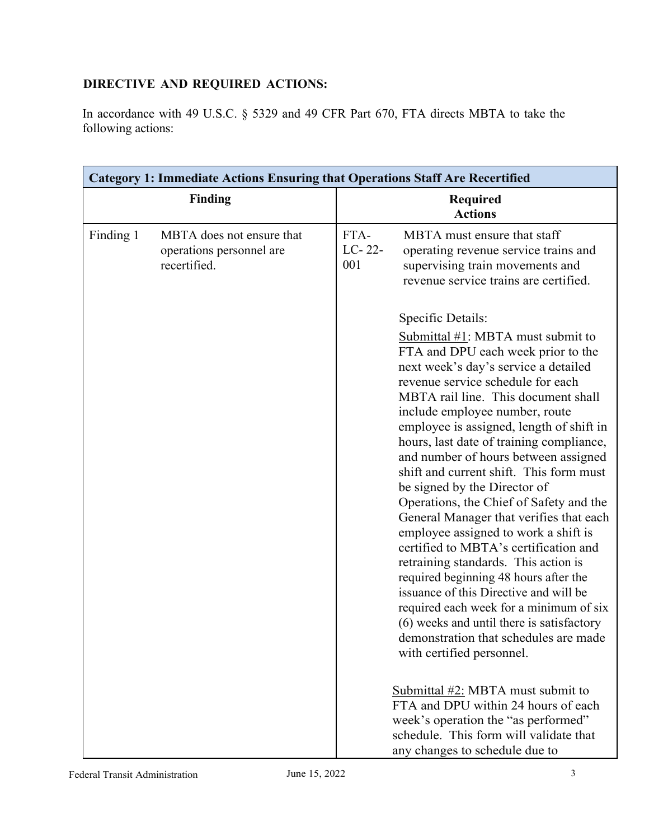# **DIRECTIVE AND REQUIRED ACTIONS:**

In accordance with 49 U.S.C. § 5329 and 49 CFR Part 670, FTA directs MBTA to take the following actions:

| <b>Category 1: Immediate Actions Ensuring that Operations Staff Are Recertified</b> |                                                                       |                       |                                                                                                                                                                                                                                                                                                                                                                                                                                                                                                                                                                                                                                                                                                                                                                                                                                                                                                             |  |  |
|-------------------------------------------------------------------------------------|-----------------------------------------------------------------------|-----------------------|-------------------------------------------------------------------------------------------------------------------------------------------------------------------------------------------------------------------------------------------------------------------------------------------------------------------------------------------------------------------------------------------------------------------------------------------------------------------------------------------------------------------------------------------------------------------------------------------------------------------------------------------------------------------------------------------------------------------------------------------------------------------------------------------------------------------------------------------------------------------------------------------------------------|--|--|
| <b>Finding</b>                                                                      |                                                                       |                       | <b>Required</b><br><b>Actions</b>                                                                                                                                                                                                                                                                                                                                                                                                                                                                                                                                                                                                                                                                                                                                                                                                                                                                           |  |  |
| Finding 1                                                                           | MBTA does not ensure that<br>operations personnel are<br>recertified. | FTA-<br>LC-22-<br>001 | MBTA must ensure that staff<br>operating revenue service trains and<br>supervising train movements and<br>revenue service trains are certified.                                                                                                                                                                                                                                                                                                                                                                                                                                                                                                                                                                                                                                                                                                                                                             |  |  |
|                                                                                     |                                                                       |                       | Specific Details:                                                                                                                                                                                                                                                                                                                                                                                                                                                                                                                                                                                                                                                                                                                                                                                                                                                                                           |  |  |
|                                                                                     |                                                                       |                       | Submittal $#1$ : MBTA must submit to<br>FTA and DPU each week prior to the<br>next week's day's service a detailed<br>revenue service schedule for each<br>MBTA rail line. This document shall<br>include employee number, route<br>employee is assigned, length of shift in<br>hours, last date of training compliance,<br>and number of hours between assigned<br>shift and current shift. This form must<br>be signed by the Director of<br>Operations, the Chief of Safety and the<br>General Manager that verifies that each<br>employee assigned to work a shift is<br>certified to MBTA's certification and<br>retraining standards. This action is<br>required beginning 48 hours after the<br>issuance of this Directive and will be<br>required each week for a minimum of six<br>(6) weeks and until there is satisfactory<br>demonstration that schedules are made<br>with certified personnel. |  |  |
|                                                                                     |                                                                       |                       | Submittal #2: MBTA must submit to<br>FTA and DPU within 24 hours of each<br>week's operation the "as performed"<br>schedule. This form will validate that<br>any changes to schedule due to                                                                                                                                                                                                                                                                                                                                                                                                                                                                                                                                                                                                                                                                                                                 |  |  |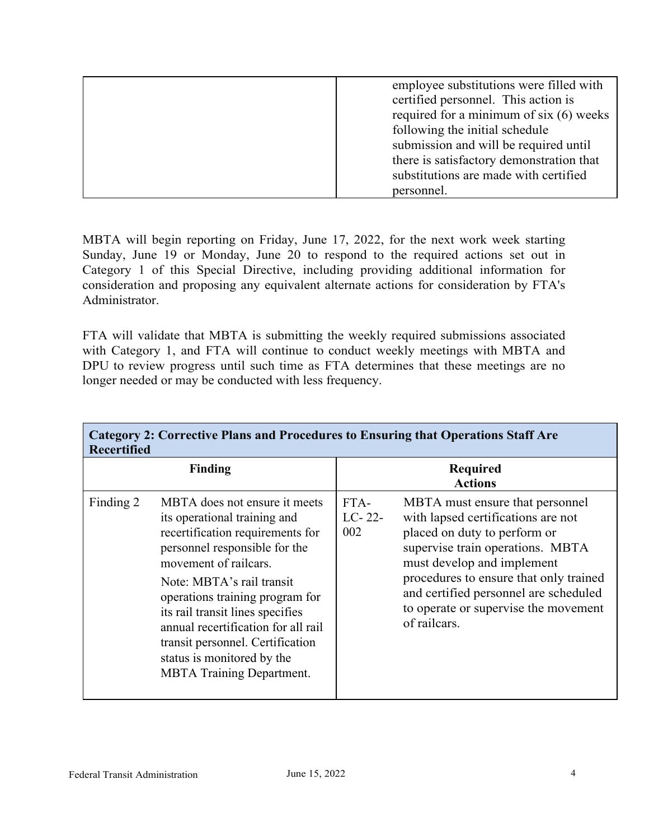MBTA will begin reporting on Friday, June 17, 2022, for the next work week starting Sunday, June 19 or Monday, June 20 to respond to the required actions set out in Category 1 of this Special Directive, including providing additional information for consideration and proposing any equivalent alternate actions for consideration by FTA's Administrator.

FTA will validate that MBTA is submitting the weekly required submissions associated with Category 1, and FTA will continue to conduct weekly meetings with MBTA and DPU to review progress until such time as FTA determines that these meetings are no longer needed or may be conducted with less frequency.

| <b>Category 2: Corrective Plans and Procedures to Ensuring that Operations Staff Are</b><br><b>Recertified</b> |                                                                                                                                                                                                                                                                                                                                                                                                              |                                   |                                                                                                                                                                                                                                                                                                                    |  |  |  |
|----------------------------------------------------------------------------------------------------------------|--------------------------------------------------------------------------------------------------------------------------------------------------------------------------------------------------------------------------------------------------------------------------------------------------------------------------------------------------------------------------------------------------------------|-----------------------------------|--------------------------------------------------------------------------------------------------------------------------------------------------------------------------------------------------------------------------------------------------------------------------------------------------------------------|--|--|--|
| <b>Finding</b>                                                                                                 |                                                                                                                                                                                                                                                                                                                                                                                                              | <b>Required</b><br><b>Actions</b> |                                                                                                                                                                                                                                                                                                                    |  |  |  |
| Finding 2                                                                                                      | MBTA does not ensure it meets<br>its operational training and<br>recertification requirements for<br>personnel responsible for the<br>movement of railcars.<br>Note: MBTA's rail transit<br>operations training program for<br>its rail transit lines specifies<br>annual recertification for all rail<br>transit personnel. Certification<br>status is monitored by the<br><b>MBTA Training Department.</b> | FTA-<br>$LC-22-$<br>002           | MBTA must ensure that personnel<br>with lapsed certifications are not<br>placed on duty to perform or<br>supervise train operations. MBTA<br>must develop and implement<br>procedures to ensure that only trained<br>and certified personnel are scheduled<br>to operate or supervise the movement<br>of railcars. |  |  |  |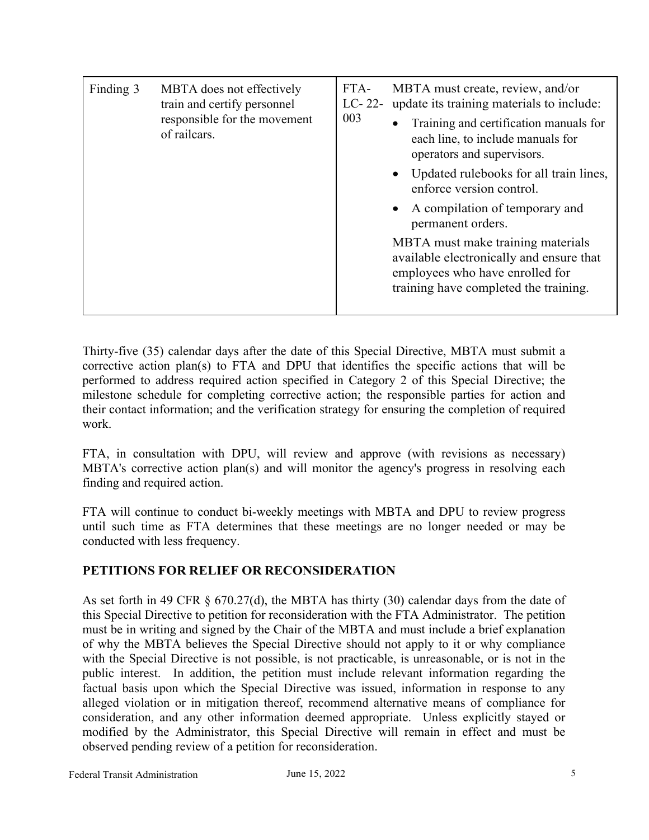| Finding 3 | MBTA does not effectively<br>train and certify personnel<br>responsible for the movement<br>of railcars. | FTA-<br>$LC-22-$<br>003 | MBTA must create, review, and/or<br>update its training materials to include:<br>Training and certification manuals for<br>each line, to include manuals for<br>operators and supervisors.<br>Updated rulebooks for all train lines, |
|-----------|----------------------------------------------------------------------------------------------------------|-------------------------|--------------------------------------------------------------------------------------------------------------------------------------------------------------------------------------------------------------------------------------|
|           |                                                                                                          |                         | enforce version control.                                                                                                                                                                                                             |
|           |                                                                                                          |                         | A compilation of temporary and<br>permanent orders.                                                                                                                                                                                  |
|           |                                                                                                          |                         | MBTA must make training materials<br>available electronically and ensure that<br>employees who have enrolled for<br>training have completed the training.                                                                            |

Thirty-five (35) calendar days after the date of this Special Directive, MBTA must submit a corrective action plan(s) to FTA and DPU that identifies the specific actions that will be performed to address required action specified in Category 2 of this Special Directive; the milestone schedule for completing corrective action; the responsible parties for action and their contact information; and the verification strategy for ensuring the completion of required work.

FTA, in consultation with DPU, will review and approve (with revisions as necessary) MBTA's corrective action plan(s) and will monitor the agency's progress in resolving each finding and required action.

FTA will continue to conduct bi-weekly meetings with MBTA and DPU to review progress until such time as FTA determines that these meetings are no longer needed or may be conducted with less frequency.

## **PETITIONS FOR RELIEF OR RECONSIDERATION**

As set forth in 49 CFR § 670.27(d), the MBTA has thirty (30) calendar days from the date of this Special Directive to petition for reconsideration with the FTA Administrator. The petition must be in writing and signed by the Chair of the MBTA and must include a brief explanation of why the MBTA believes the Special Directive should not apply to it or why compliance with the Special Directive is not possible, is not practicable, is unreasonable, or is not in the public interest. In addition, the petition must include relevant information regarding the factual basis upon which the Special Directive was issued, information in response to any alleged violation or in mitigation thereof, recommend alternative means of compliance for consideration, and any other information deemed appropriate. Unless explicitly stayed or modified by the Administrator, this Special Directive will remain in effect and must be observed pending review of a petition for reconsideration.